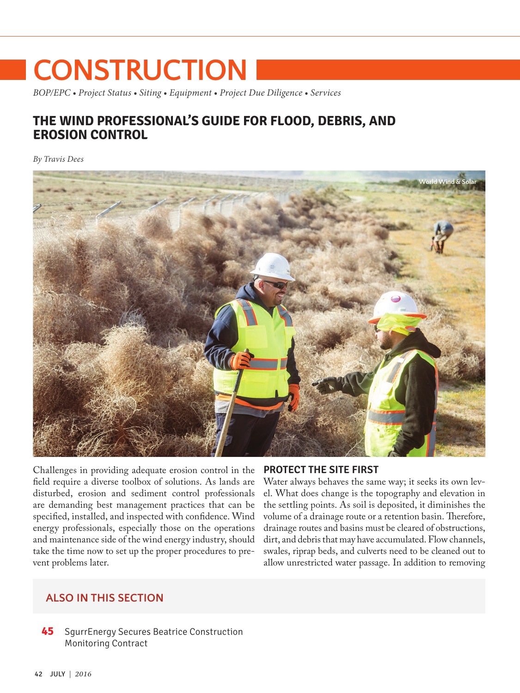# **CONSTRUCTION**

*BOP/EPC • Project Status • Siting • Equipment • Project Due Diligence • Services*

## **THE WIND PROFESSIONAL'S GUIDE FOR FLOOD, DEBRIS, AND EROSION CONTROL**

*By Travis Dees*



Challenges in providing adequate erosion control in the field require a diverse toolbox of solutions. As lands are disturbed, erosion and sediment control professionals are demanding best management practices that can be specified, installed, and inspected with confidence. Wind energy professionals, especially those on the operations and maintenance side of the wind energy industry, should take the time now to set up the proper procedures to prevent problems later.

#### **PROTECT THE SITE FIRST**

Water always behaves the same way; it seeks its own level. What does change is the topography and elevation in the settling points. As soil is deposited, it diminishes the volume of a drainage route or a retention basin. Therefore, drainage routes and basins must be cleared of obstructions, dirt, and debris that may have accumulated. Flow channels, swales, riprap beds, and culverts need to be cleaned out to allow unrestricted water passage. In addition to removing

## **ALSO IN THIS SECTION**

**45** [SgurrEnergy Secures Beatrice Construction](#page-3-0)  Monitoring Contract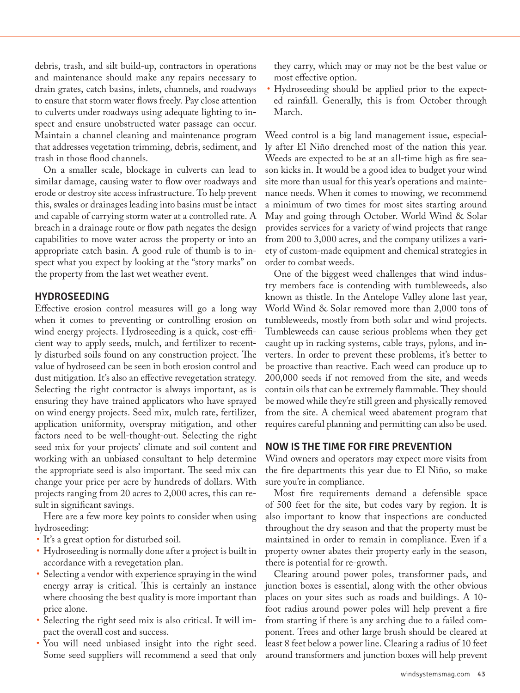debris, trash, and silt build-up, contractors in operations and maintenance should make any repairs necessary to drain grates, catch basins, inlets, channels, and roadways to ensure that storm water flows freely. Pay close attention to culverts under roadways using adequate lighting to inspect and ensure unobstructed water passage can occur. Maintain a channel cleaning and maintenance program that addresses vegetation trimming, debris, sediment, and trash in those flood channels.

On a smaller scale, blockage in culverts can lead to similar damage, causing water to flow over roadways and erode or destroy site access infrastructure. To help prevent this, swales or drainages leading into basins must be intact and capable of carrying storm water at a controlled rate. A breach in a drainage route or flow path negates the design capabilities to move water across the property or into an appropriate catch basin. A good rule of thumb is to inspect what you expect by looking at the "story marks" on the property from the last wet weather event.

#### **HYDROSEEDING**

Effective erosion control measures will go a long way when it comes to preventing or controlling erosion on wind energy projects. Hydroseeding is a quick, cost-efficient way to apply seeds, mulch, and fertilizer to recently disturbed soils found on any construction project. The value of hydroseed can be seen in both erosion control and dust mitigation. It's also an effective revegetation strategy. Selecting the right contractor is always important, as is ensuring they have trained applicators who have sprayed on wind energy projects. Seed mix, mulch rate, fertilizer, application uniformity, overspray mitigation, and other factors need to be well-thought-out. Selecting the right seed mix for your projects' climate and soil content and working with an unbiased consultant to help determine the appropriate seed is also important. The seed mix can change your price per acre by hundreds of dollars. With projects ranging from 20 acres to 2,000 acres, this can result in significant savings.

Here are a few more key points to consider when using hydroseeding:

- It's a great option for disturbed soil.
- Hydroseeding is normally done after a project is built in accordance with a revegetation plan.
- Selecting a vendor with experience spraying in the wind energy array is critical. This is certainly an instance where choosing the best quality is more important than price alone.
- Selecting the right seed mix is also critical. It will impact the overall cost and success.
- You will need unbiased insight into the right seed. Some seed suppliers will recommend a seed that only

they carry, which may or may not be the best value or most effective option.

• Hydroseeding should be applied prior to the expected rainfall. Generally, this is from October through March.

Weed control is a big land management issue, especially after El Niño drenched most of the nation this year. Weeds are expected to be at an all-time high as fire season kicks in. It would be a good idea to budget your wind site more than usual for this year's operations and maintenance needs. When it comes to mowing, we recommend a minimum of two times for most sites starting around May and going through October. World Wind & Solar provides services for a variety of wind projects that range from 200 to 3,000 acres, and the company utilizes a variety of custom-made equipment and chemical strategies in order to combat weeds.

One of the biggest weed challenges that wind industry members face is contending with tumbleweeds, also known as thistle. In the Antelope Valley alone last year, World Wind & Solar removed more than 2,000 tons of tumbleweeds, mostly from both solar and wind projects. Tumbleweeds can cause serious problems when they get caught up in racking systems, cable trays, pylons, and inverters. In order to prevent these problems, it's better to be proactive than reactive. Each weed can produce up to 200,000 seeds if not removed from the site, and weeds contain oils that can be extremely flammable. They should be mowed while they're still green and physically removed from the site. A chemical weed abatement program that requires careful planning and permitting can also be used.

#### **NOW IS THE TIME FOR FIRE PREVENTION**

Wind owners and operators may expect more visits from the fire departments this year due to El Niño, so make sure you're in compliance.

Most fire requirements demand a defensible space of 500 feet for the site, but codes vary by region. It is also important to know that inspections are conducted throughout the dry season and that the property must be maintained in order to remain in compliance. Even if a property owner abates their property early in the season, there is potential for re-growth.

Clearing around power poles, transformer pads, and junction boxes is essential, along with the other obvious places on your sites such as roads and buildings. A 10 foot radius around power poles will help prevent a fire from starting if there is any arching due to a failed component. Trees and other large brush should be cleared at least 8 feet below a power line. Clearing a radius of 10 feet around transformers and junction boxes will help prevent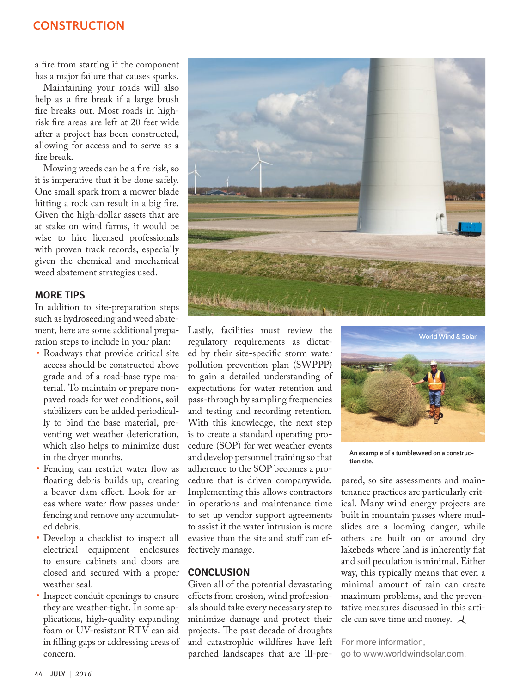a fire from starting if the component has a major failure that causes sparks.

Maintaining your roads will also help as a fire break if a large brush fire breaks out. Most roads in highrisk fire areas are left at 20 feet wide after a project has been constructed, allowing for access and to serve as a fire break.

Mowing weeds can be a fire risk, so it is imperative that it be done safely. One small spark from a mower blade hitting a rock can result in a big fire. Given the high-dollar assets that are at stake on wind farms, it would be wise to hire licensed professionals with proven track records, especially given the chemical and mechanical weed abatement strategies used.

#### **MORE TIPS**

In addition to site-preparation steps such as hydroseeding and weed abatement, here are some additional preparation steps to include in your plan:

- Roadways that provide critical site access should be constructed above grade and of a road-base type material. To maintain or prepare nonpaved roads for wet conditions, soil stabilizers can be added periodically to bind the base material, preventing wet weather deterioration, which also helps to minimize dust in the dryer months.
- Fencing can restrict water flow as floating debris builds up, creating a beaver dam effect. Look for areas where water flow passes under fencing and remove any accumulated debris.
- Develop a checklist to inspect all electrical equipment enclosures to ensure cabinets and doors are closed and secured with a proper weather seal.
- Inspect conduit openings to ensure they are weather-tight. In some applications, high-quality expanding foam or UV-resistant RTV can aid in filling gaps or addressing areas of concern.



Lastly, facilities must review the regulatory requirements as dictated by their site-specific storm water pollution prevention plan (SWPPP) to gain a detailed understanding of expectations for water retention and pass-through by sampling frequencies and testing and recording retention. With this knowledge, the next step is to create a standard operating procedure (SOP) for wet weather events and develop personnel training so that adherence to the SOP becomes a procedure that is driven companywide. Implementing this allows contractors in operations and maintenance time to set up vendor support agreements to assist if the water intrusion is more evasive than the site and staff can effectively manage.

#### **CONCLUSION**

Given all of the potential devastating effects from erosion, wind professionals should take every necessary step to minimize damage and protect their projects. The past decade of droughts and catastrophic wildfires have left parched landscapes that are ill-pre-



**An example of a tumbleweed on a construction site.**

pared, so site assessments and maintenance practices are particularly critical. Many wind energy projects are built in mountain passes where mudslides are a looming danger, while others are built on or around dry lakebeds where land is inherently flat and soil peculation is minimal. Either way, this typically means that even a minimal amount of rain can create maximum problems, and the preventative measures discussed in this article can save time and money.  $\lambda$ 

For more information, go to [www.worldwindsolar.com.](http://www.worldwindsolar.com)